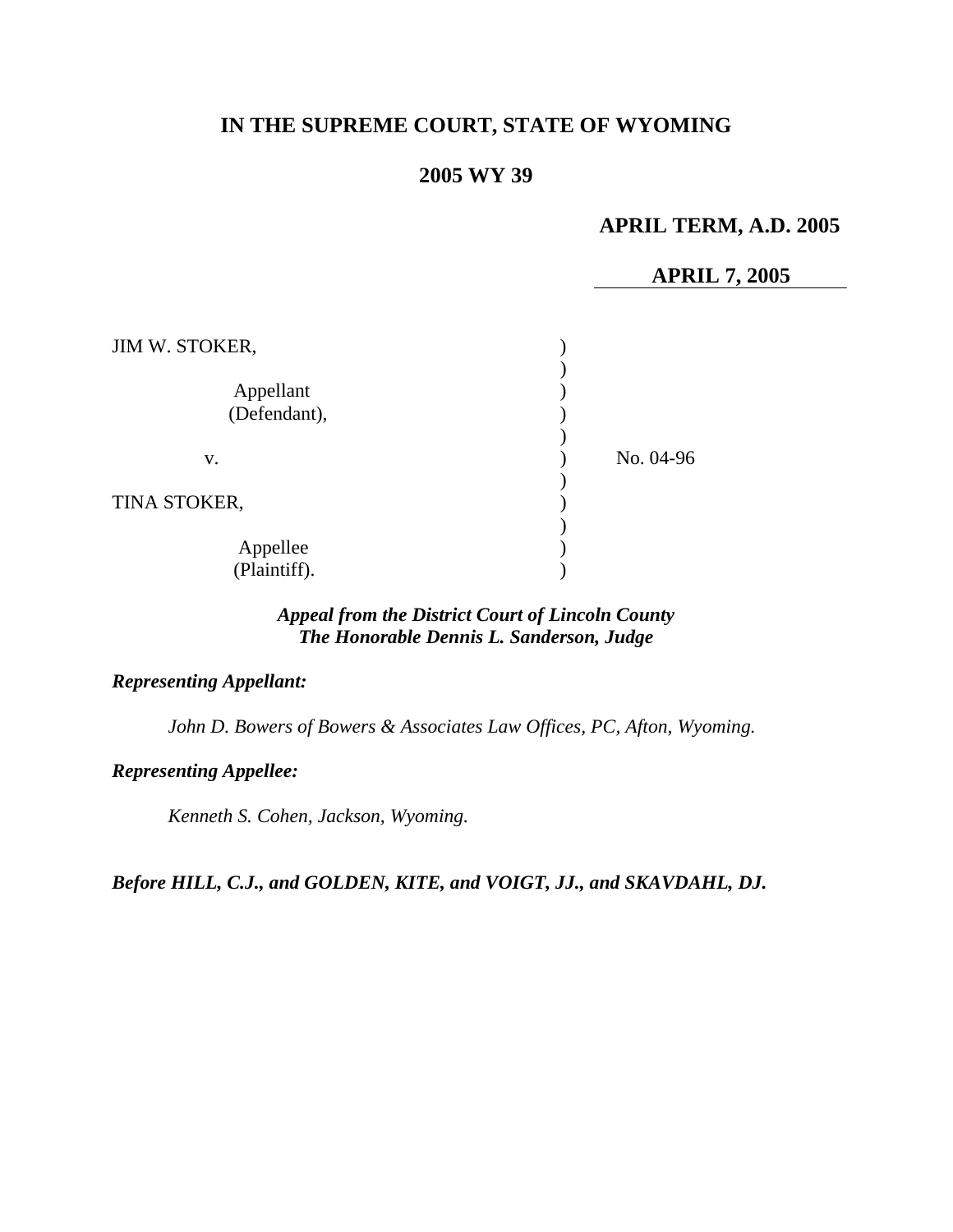# **IN THE SUPREME COURT, STATE OF WYOMING**

# **2005 WY 39**

# **APRIL TERM, A.D. 2005**

## **APRIL 7, 2005**

| JIM W. STOKER,            |           |
|---------------------------|-----------|
| Appellant<br>(Defendant), |           |
| V.                        | No. 04-96 |
| TINA STOKER,              |           |
| Appellee<br>(Plaintiff).  |           |

## *Appeal from the District Court of Lincoln County The Honorable Dennis L. Sanderson, Judge*

### *Representing Appellant:*

*John D. Bowers of Bowers & Associates Law Offices, PC, Afton, Wyoming.* 

## *Representing Appellee:*

*Kenneth S. Cohen, Jackson, Wyoming.* 

*Before HILL, C.J., and GOLDEN, KITE, and VOIGT, JJ., and SKAVDAHL, DJ.*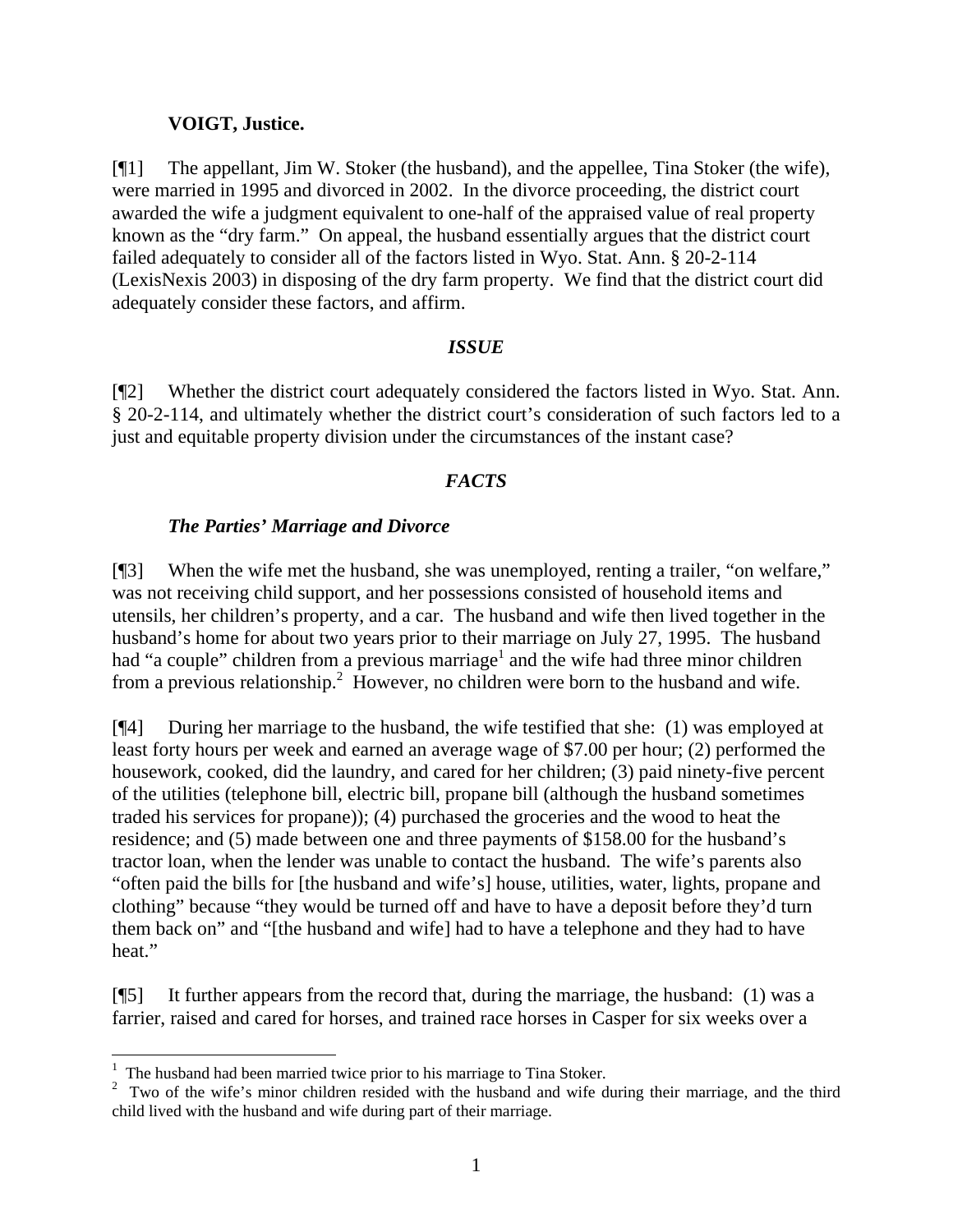## **VOIGT, Justice.**

[¶1] The appellant, Jim W. Stoker (the husband), and the appellee, Tina Stoker (the wife), were married in 1995 and divorced in 2002. In the divorce proceeding, the district court awarded the wife a judgment equivalent to one-half of the appraised value of real property known as the "dry farm." On appeal, the husband essentially argues that the district court failed adequately to consider all of the factors listed in Wyo. Stat. Ann. § 20-2-114 (LexisNexis 2003) in disposing of the dry farm property. We find that the district court did adequately consider these factors, and affirm.

## *ISSUE*

[¶2] Whether the district court adequately considered the factors listed in Wyo. Stat. Ann. § 20-2-114, and ultimately whether the district court's consideration of such factors led to a just and equitable property division under the circumstances of the instant case?

# *FACTS*

# *The Parties' Marriage and Divorce*

[¶3] When the wife met the husband, she was unemployed, renting a trailer, "on welfare," was not receiving child support, and her possessions consisted of household items and utensils, her children's property, and a car. The husband and wife then lived together in the husband's home for about two years prior to their marriage on July 27, 1995. The husband had "a couple" children from a previous marriage<sup>[1](#page-1-0)</sup> and the wife had three minor children from a previous relationship.<sup>[2](#page-1-1)</sup> However, no children were born to the husband and wife.

[¶4] During her marriage to the husband, the wife testified that she: (1) was employed at least forty hours per week and earned an average wage of \$7.00 per hour; (2) performed the housework, cooked, did the laundry, and cared for her children; (3) paid ninety-five percent of the utilities (telephone bill, electric bill, propane bill (although the husband sometimes traded his services for propane)); (4) purchased the groceries and the wood to heat the residence; and (5) made between one and three payments of \$158.00 for the husband's tractor loan, when the lender was unable to contact the husband. The wife's parents also "often paid the bills for [the husband and wife's] house, utilities, water, lights, propane and clothing" because "they would be turned off and have to have a deposit before they'd turn them back on" and "[the husband and wife] had to have a telephone and they had to have heat."

[¶5] It further appears from the record that, during the marriage, the husband: (1) was a farrier, raised and cared for horses, and trained race horses in Casper for six weeks over a

<span id="page-1-0"></span> $<sup>1</sup>$  The husband had been married twice prior to his marriage to Tina Stoker.</sup>

<span id="page-1-1"></span><sup>&</sup>lt;sup>2</sup> Two of the wife's minor children resided with the husband and wife during their marriage, and the third child lived with the husband and wife during part of their marriage.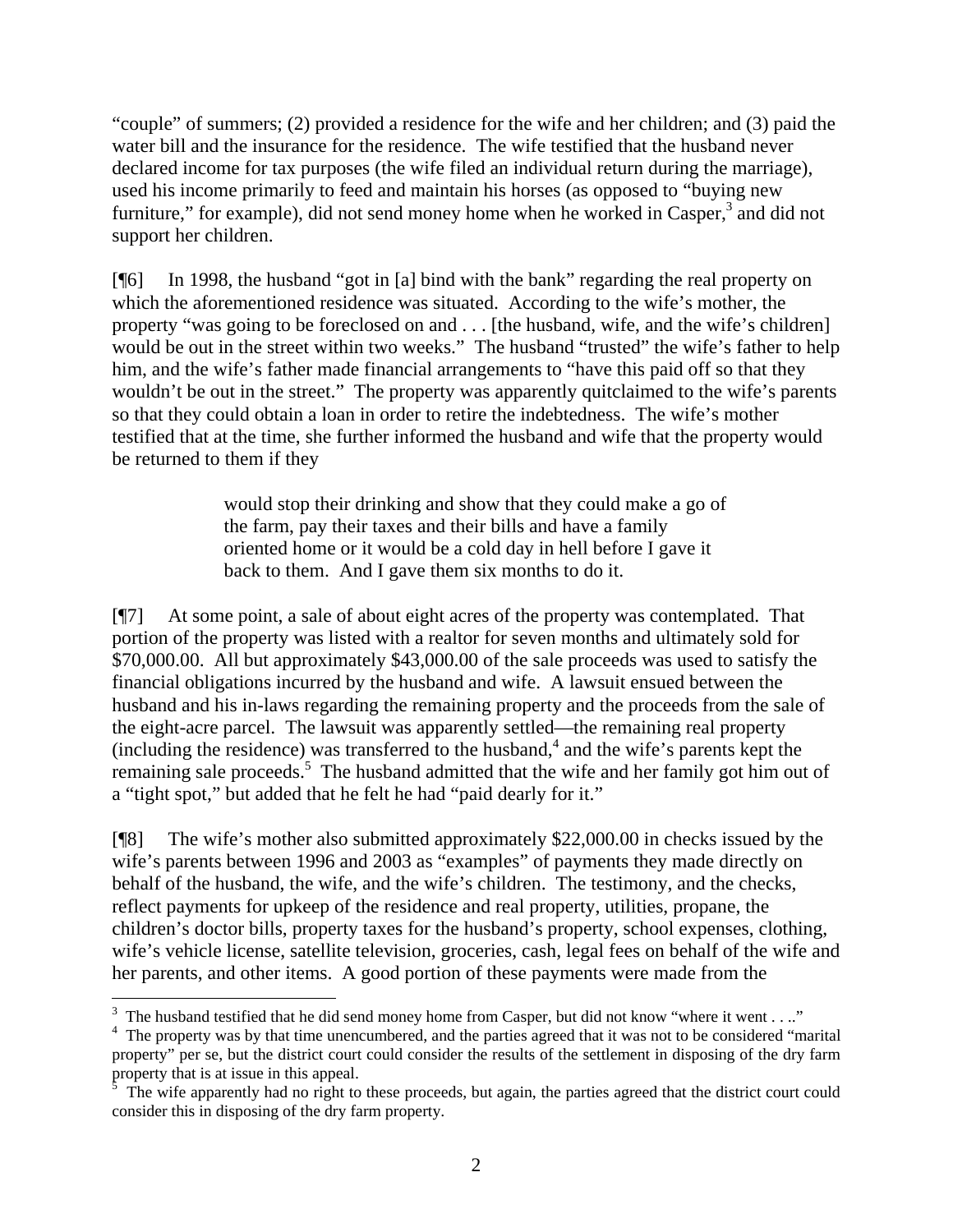"couple" of summers; (2) provided a residence for the wife and her children; and (3) paid the water bill and the insurance for the residence. The wife testified that the husband never declared income for tax purposes (the wife filed an individual return during the marriage), used his income primarily to feed and maintain his horses (as opposed to "buying new furniture," for example), did not send money home when he worked in Casper,<sup>[3](#page-2-0)</sup> and did not support her children.

[¶6] In 1998, the husband "got in [a] bind with the bank" regarding the real property on which the aforementioned residence was situated. According to the wife's mother, the property "was going to be foreclosed on and . . . [the husband, wife, and the wife's children] would be out in the street within two weeks." The husband "trusted" the wife's father to help him, and the wife's father made financial arrangements to "have this paid off so that they wouldn't be out in the street." The property was apparently quitclaimed to the wife's parents so that they could obtain a loan in order to retire the indebtedness. The wife's mother testified that at the time, she further informed the husband and wife that the property would be returned to them if they

> would stop their drinking and show that they could make a go of the farm, pay their taxes and their bills and have a family oriented home or it would be a cold day in hell before I gave it back to them. And I gave them six months to do it.

[¶7] At some point, a sale of about eight acres of the property was contemplated. That portion of the property was listed with a realtor for seven months and ultimately sold for \$70,000.00. All but approximately \$43,000.00 of the sale proceeds was used to satisfy the financial obligations incurred by the husband and wife. A lawsuit ensued between the husband and his in-laws regarding the remaining property and the proceeds from the sale of the eight-acre parcel. The lawsuit was apparently settled—the remaining real property  $(including the residence) was transferred to the husband<sup>4</sup> and the wife's parents kept the$  $(including the residence) was transferred to the husband<sup>4</sup> and the wife's parents kept the$  $(including the residence) was transferred to the husband<sup>4</sup> and the wife's parents kept the$ remaining sale proceeds.<sup>[5](#page-2-2)</sup> The husband admitted that the wife and her family got him out of a "tight spot," but added that he felt he had "paid dearly for it."

[¶8] The wife's mother also submitted approximately \$22,000.00 in checks issued by the wife's parents between 1996 and 2003 as "examples" of payments they made directly on behalf of the husband, the wife, and the wife's children. The testimony, and the checks, reflect payments for upkeep of the residence and real property, utilities, propane, the children's doctor bills, property taxes for the husband's property, school expenses, clothing, wife's vehicle license, satellite television, groceries, cash, legal fees on behalf of the wife and her parents, and other items. A good portion of these payments were made from the

 $\overline{a}$ 

<span id="page-2-0"></span><sup>&</sup>lt;sup>3</sup> The husband testified that he did send money home from Casper, but did not know "where it went . . .."

<span id="page-2-1"></span><sup>&</sup>lt;sup>4</sup> The property was by that time unencumbered, and the parties agreed that it was not to be considered "marital" property" per se, but the district court could consider the results of the settlement in disposing of the dry farm property that is at issue in this appeal.<br><sup>5</sup>. The wife approach had no right to

<span id="page-2-2"></span>The wife apparently had no right to these proceeds, but again, the parties agreed that the district court could consider this in disposing of the dry farm property.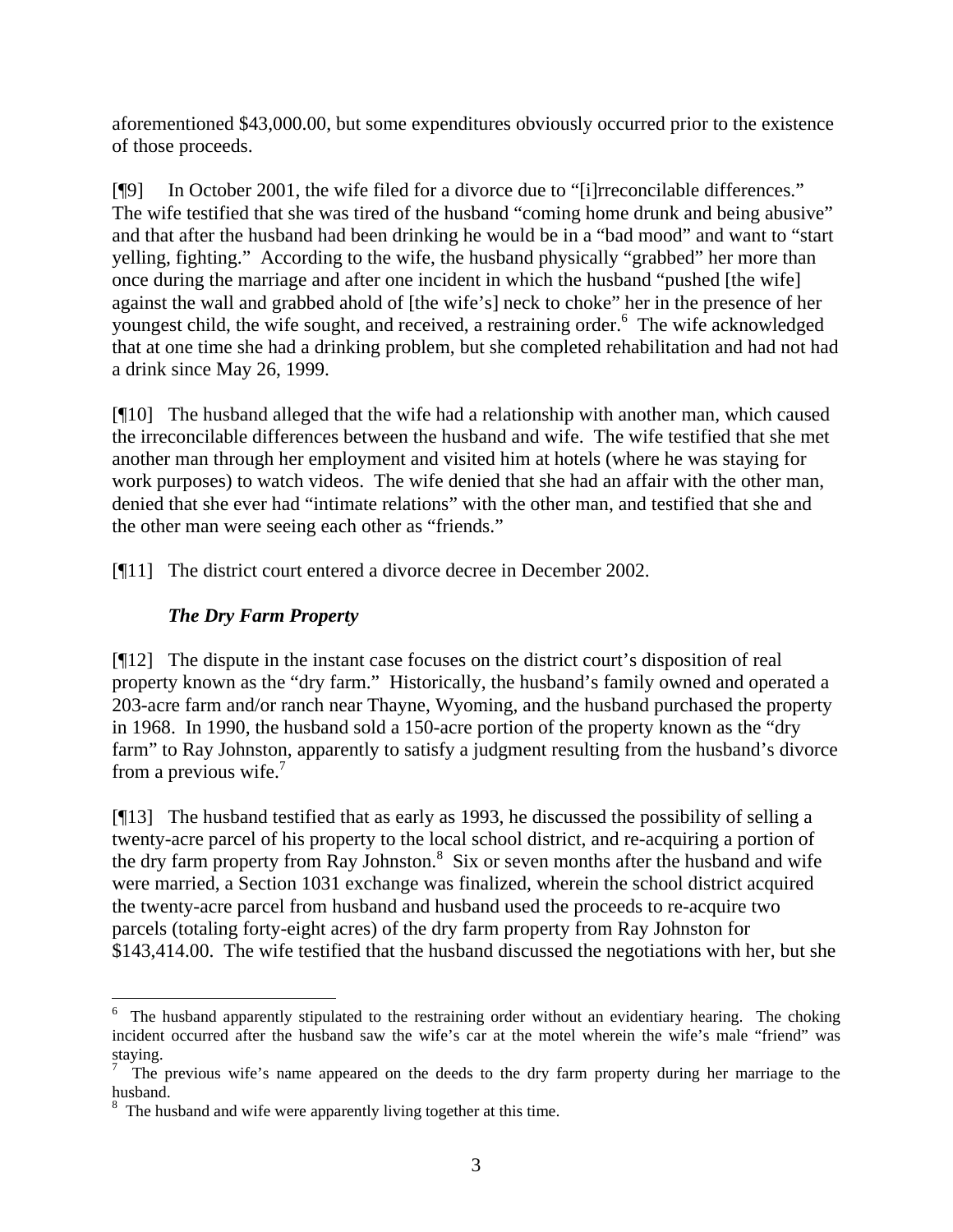aforementioned \$43,000.00, but some expenditures obviously occurred prior to the existence of those proceeds.

[¶9] In October 2001, the wife filed for a divorce due to "[i]rreconcilable differences." The wife testified that she was tired of the husband "coming home drunk and being abusive" and that after the husband had been drinking he would be in a "bad mood" and want to "start yelling, fighting." According to the wife, the husband physically "grabbed" her more than once during the marriage and after one incident in which the husband "pushed [the wife] against the wall and grabbed ahold of [the wife's] neck to choke" her in the presence of her youngest child, the wife sought, and received, a restraining order.<sup>[6](#page-3-0)</sup> The wife acknowledged that at one time she had a drinking problem, but she completed rehabilitation and had not had a drink since May 26, 1999.

[¶10] The husband alleged that the wife had a relationship with another man, which caused the irreconcilable differences between the husband and wife. The wife testified that she met another man through her employment and visited him at hotels (where he was staying for work purposes) to watch videos. The wife denied that she had an affair with the other man, denied that she ever had "intimate relations" with the other man, and testified that she and the other man were seeing each other as "friends."

[¶11] The district court entered a divorce decree in December 2002.

# *The Dry Farm Property*

[¶12] The dispute in the instant case focuses on the district court's disposition of real property known as the "dry farm." Historically, the husband's family owned and operated a 203-acre farm and/or ranch near Thayne, Wyoming, and the husband purchased the property in 1968. In 1990, the husband sold a 150-acre portion of the property known as the "dry farm" to Ray Johnston, apparently to satisfy a judgment resulting from the husband's divorce from a previous wife. $<sup>7</sup>$  $<sup>7</sup>$  $<sup>7</sup>$ </sup>

[¶13] The husband testified that as early as 1993, he discussed the possibility of selling a twenty-acre parcel of his property to the local school district, and re-acquiring a portion of the dry farm property from Ray Johnston.<sup>[8](#page-3-2)</sup> Six or seven months after the husband and wife were married, a Section 1031 exchange was finalized, wherein the school district acquired the twenty-acre parcel from husband and husband used the proceeds to re-acquire two parcels (totaling forty-eight acres) of the dry farm property from Ray Johnston for \$143,414.00. The wife testified that the husband discussed the negotiations with her, but she

<span id="page-3-0"></span> $\overline{a}$ <sup>6</sup> The husband apparently stipulated to the restraining order without an evidentiary hearing. The choking incident occurred after the husband saw the wife's car at the motel wherein the wife's male "friend" was staying.

<span id="page-3-1"></span><sup>7</sup> The previous wife's name appeared on the deeds to the dry farm property during her marriage to the husband. 8

<span id="page-3-2"></span><sup>&</sup>lt;sup>8</sup> The husband and wife were apparently living together at this time.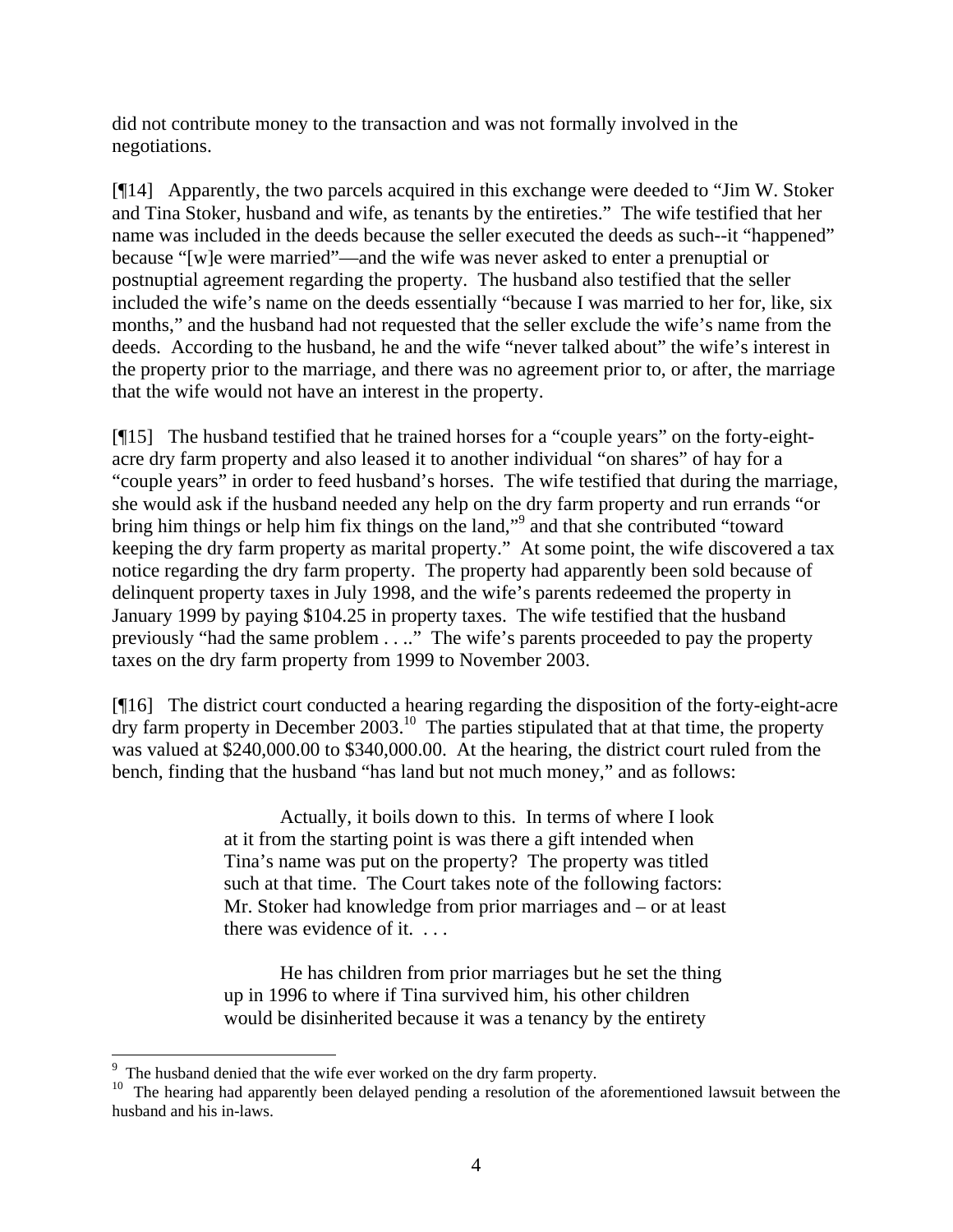did not contribute money to the transaction and was not formally involved in the negotiations.

[¶14] Apparently, the two parcels acquired in this exchange were deeded to "Jim W. Stoker and Tina Stoker, husband and wife, as tenants by the entireties." The wife testified that her name was included in the deeds because the seller executed the deeds as such--it "happened" because "[w]e were married"—and the wife was never asked to enter a prenuptial or postnuptial agreement regarding the property. The husband also testified that the seller included the wife's name on the deeds essentially "because I was married to her for, like, six months," and the husband had not requested that the seller exclude the wife's name from the deeds. According to the husband, he and the wife "never talked about" the wife's interest in the property prior to the marriage, and there was no agreement prior to, or after, the marriage that the wife would not have an interest in the property.

[¶15] The husband testified that he trained horses for a "couple years" on the forty-eightacre dry farm property and also leased it to another individual "on shares" of hay for a "couple years" in order to feed husband's horses. The wife testified that during the marriage, she would ask if the husband needed any help on the dry farm property and run errands "or bring him things or help him fix things on the land,"<sup>[9](#page-4-0)</sup> and that she contributed "toward keeping the dry farm property as marital property." At some point, the wife discovered a tax notice regarding the dry farm property. The property had apparently been sold because of delinquent property taxes in July 1998, and the wife's parents redeemed the property in January 1999 by paying \$104.25 in property taxes. The wife testified that the husband previously "had the same problem . . .." The wife's parents proceeded to pay the property taxes on the dry farm property from 1999 to November 2003.

[¶16] The district court conducted a hearing regarding the disposition of the forty-eight-acre  $\frac{d}{dx}$  farm property in December 2003.<sup>10</sup> The parties stipulated that at that time, the property was valued at \$240,000.00 to \$340,000.00. At the hearing, the district court ruled from the bench, finding that the husband "has land but not much money," and as follows:

> Actually, it boils down to this. In terms of where I look at it from the starting point is was there a gift intended when Tina's name was put on the property? The property was titled such at that time. The Court takes note of the following factors: Mr. Stoker had knowledge from prior marriages and – or at least there was evidence of it. . . .

He has children from prior marriages but he set the thing up in 1996 to where if Tina survived him, his other children would be disinherited because it was a tenancy by the entirety

<span id="page-4-0"></span><sup>&</sup>lt;sup>9</sup> The husband denied that the wife ever worked on the dry farm property.

<span id="page-4-1"></span><sup>&</sup>lt;sup>10</sup> The hearing had apparently been delayed pending a resolution of the aforementioned lawsuit between the husband and his in-laws.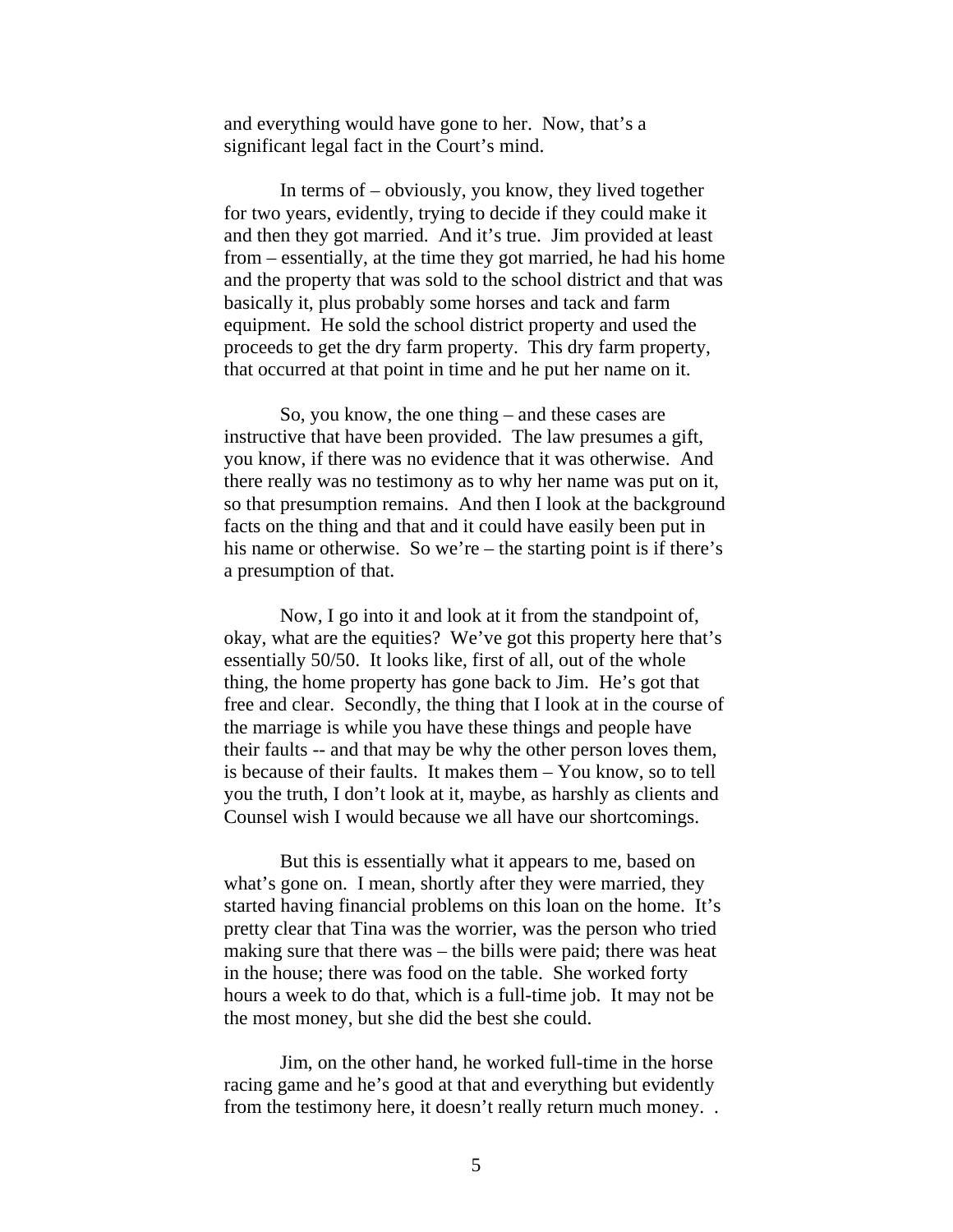and everything would have gone to her. Now, that's a significant legal fact in the Court's mind.

In terms of – obviously, you know, they lived together for two years, evidently, trying to decide if they could make it and then they got married. And it's true. Jim provided at least from – essentially, at the time they got married, he had his home and the property that was sold to the school district and that was basically it, plus probably some horses and tack and farm equipment. He sold the school district property and used the proceeds to get the dry farm property. This dry farm property, that occurred at that point in time and he put her name on it.

So, you know, the one thing – and these cases are instructive that have been provided. The law presumes a gift, you know, if there was no evidence that it was otherwise. And there really was no testimony as to why her name was put on it, so that presumption remains. And then I look at the background facts on the thing and that and it could have easily been put in his name or otherwise. So we're – the starting point is if there's a presumption of that.

Now, I go into it and look at it from the standpoint of, okay, what are the equities? We've got this property here that's essentially 50/50. It looks like, first of all, out of the whole thing, the home property has gone back to Jim. He's got that free and clear. Secondly, the thing that I look at in the course of the marriage is while you have these things and people have their faults -- and that may be why the other person loves them, is because of their faults. It makes them – You know, so to tell you the truth, I don't look at it, maybe, as harshly as clients and Counsel wish I would because we all have our shortcomings.

But this is essentially what it appears to me, based on what's gone on. I mean, shortly after they were married, they started having financial problems on this loan on the home. It's pretty clear that Tina was the worrier, was the person who tried making sure that there was – the bills were paid; there was heat in the house; there was food on the table. She worked forty hours a week to do that, which is a full-time job. It may not be the most money, but she did the best she could.

Jim, on the other hand, he worked full-time in the horse racing game and he's good at that and everything but evidently from the testimony here, it doesn't really return much money. .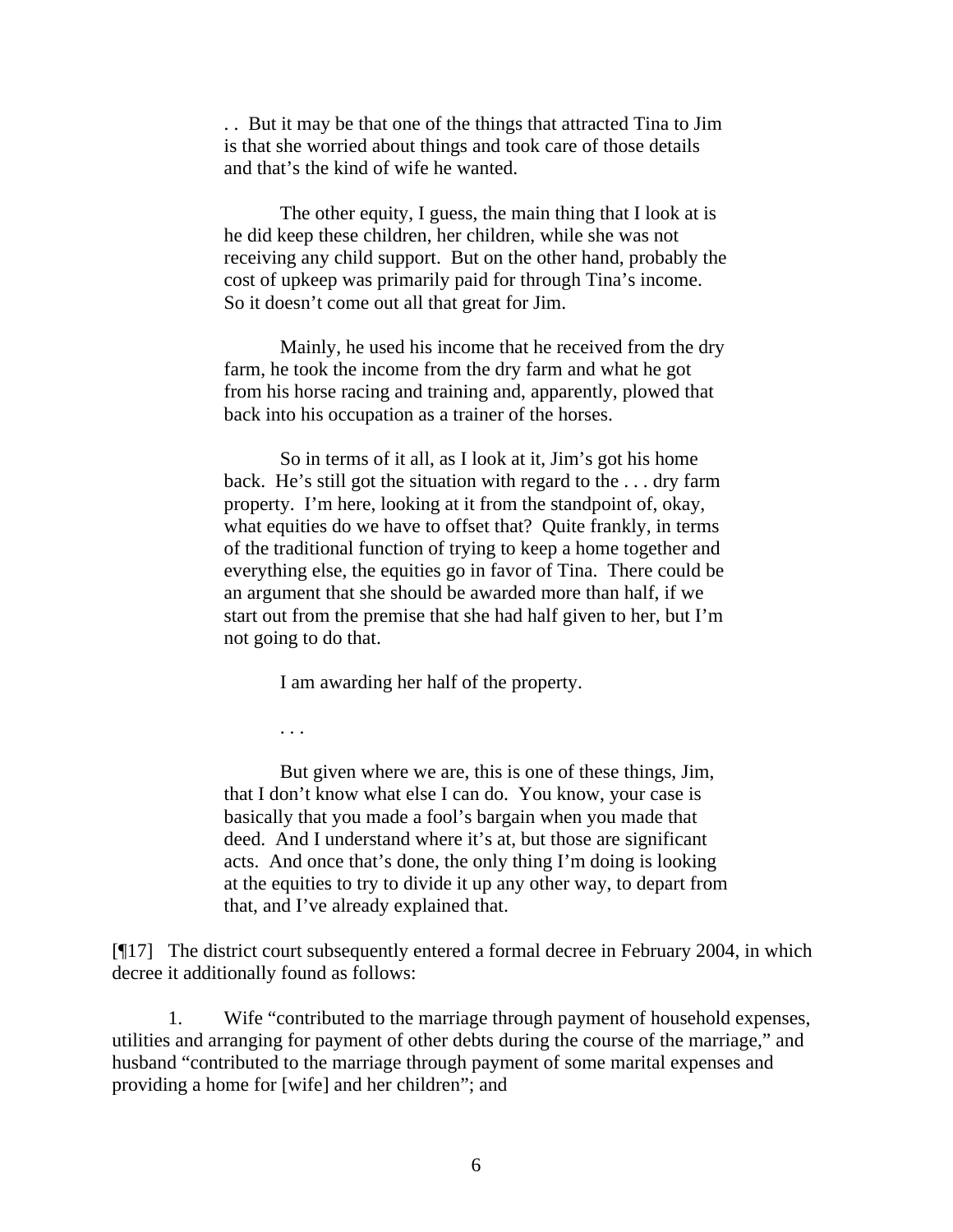. . But it may be that one of the things that attracted Tina to Jim is that she worried about things and took care of those details and that's the kind of wife he wanted.

The other equity, I guess, the main thing that I look at is he did keep these children, her children, while she was not receiving any child support. But on the other hand, probably the cost of upkeep was primarily paid for through Tina's income. So it doesn't come out all that great for Jim.

Mainly, he used his income that he received from the dry farm, he took the income from the dry farm and what he got from his horse racing and training and, apparently, plowed that back into his occupation as a trainer of the horses.

So in terms of it all, as I look at it, Jim's got his home back. He's still got the situation with regard to the . . . dry farm property. I'm here, looking at it from the standpoint of, okay, what equities do we have to offset that? Quite frankly, in terms of the traditional function of trying to keep a home together and everything else, the equities go in favor of Tina. There could be an argument that she should be awarded more than half, if we start out from the premise that she had half given to her, but I'm not going to do that.

I am awarding her half of the property.

. . .

But given where we are, this is one of these things, Jim, that I don't know what else I can do. You know, your case is basically that you made a fool's bargain when you made that deed. And I understand where it's at, but those are significant acts. And once that's done, the only thing I'm doing is looking at the equities to try to divide it up any other way, to depart from that, and I've already explained that.

[¶17] The district court subsequently entered a formal decree in February 2004, in which decree it additionally found as follows:

1. Wife "contributed to the marriage through payment of household expenses, utilities and arranging for payment of other debts during the course of the marriage," and husband "contributed to the marriage through payment of some marital expenses and providing a home for [wife] and her children"; and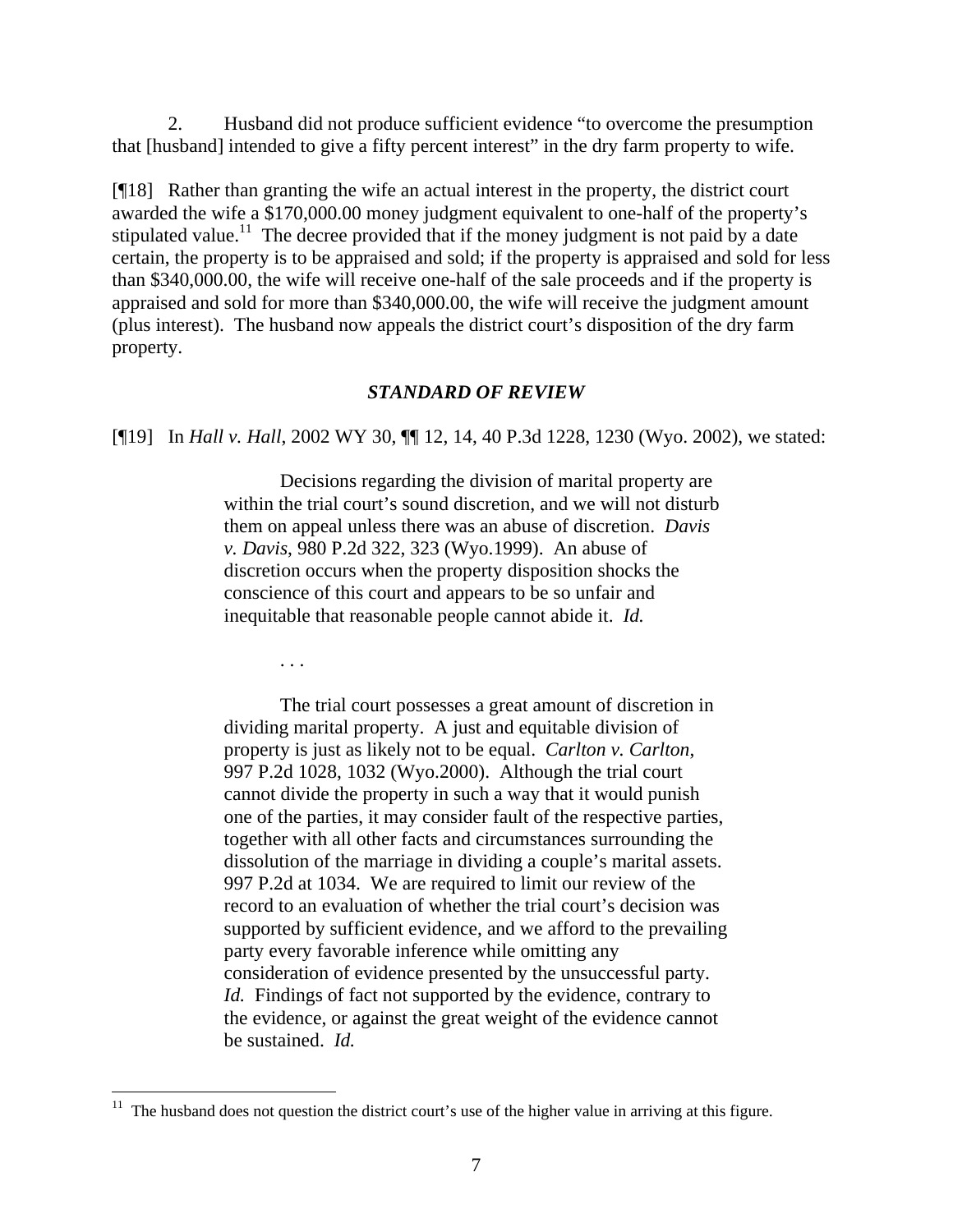2. Husband did not produce sufficient evidence "to overcome the presumption that [husband] intended to give a fifty percent interest" in the dry farm property to wife.

[¶18] Rather than granting the wife an actual interest in the property, the district court awarded the wife a \$170,000.00 money judgment equivalent to one-half of the property's stipulated value.<sup>11</sup> The decree provided that if the money judgment is not paid by a date certain, the property is to be appraised and sold; if the property is appraised and sold for less than \$340,000.00, the wife will receive one-half of the sale proceeds and if the property is appraised and sold for more than \$340,000.00, the wife will receive the judgment amount (plus interest). The husband now appeals the district court's disposition of the dry farm property.

#### *STANDARD OF REVIEW*

[¶19] In *Hall v. Hall*, 2002 WY 30, ¶¶ 12, 14, 40 P.3d 1228, 1230 (Wyo. 2002), we stated:

Decisions regarding the division of marital property are within the trial court's sound discretion, and we will not disturb them on appeal unless there was an abuse of discretion. *Davis v. Davis*, 980 P.2d 322, 323 (Wyo.1999). An abuse of discretion occurs when the property disposition shocks the conscience of this court and appears to be so unfair and inequitable that reasonable people cannot abide it. *Id.*

. . .

The trial court possesses a great amount of discretion in dividing marital property. A just and equitable division of property is just as likely not to be equal. *Carlton v. Carlton*, 997 P.2d 1028, 1032 (Wyo.2000). Although the trial court cannot divide the property in such a way that it would punish one of the parties, it may consider fault of the respective parties, together with all other facts and circumstances surrounding the dissolution of the marriage in dividing a couple's marital assets. 997 P.2d at 1034. We are required to limit our review of the record to an evaluation of whether the trial court's decision was supported by sufficient evidence, and we afford to the prevailing party every favorable inference while omitting any consideration of evidence presented by the unsuccessful party. *Id.* Findings of fact not supported by the evidence, contrary to the evidence, or against the great weight of the evidence cannot be sustained. *Id.*

<span id="page-7-0"></span> $11$  The husband does not question the district court's use of the higher value in arriving at this figure.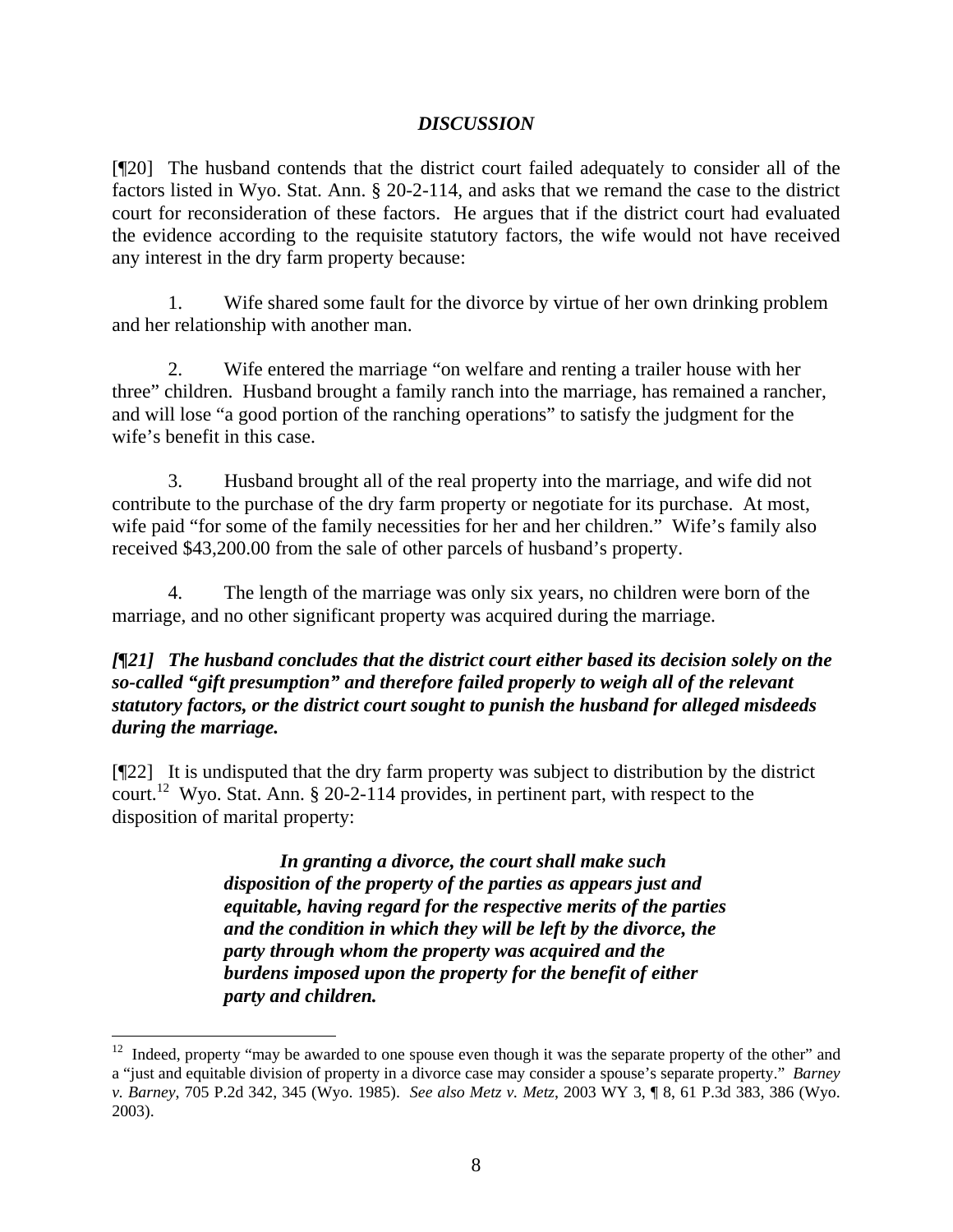## *DISCUSSION*

[¶20] The husband contends that the district court failed adequately to consider all of the factors listed in Wyo. Stat. Ann. § 20-2-114, and asks that we remand the case to the district court for reconsideration of these factors. He argues that if the district court had evaluated the evidence according to the requisite statutory factors, the wife would not have received any interest in the dry farm property because:

1. Wife shared some fault for the divorce by virtue of her own drinking problem and her relationship with another man.

2. Wife entered the marriage "on welfare and renting a trailer house with her three" children. Husband brought a family ranch into the marriage, has remained a rancher, and will lose "a good portion of the ranching operations" to satisfy the judgment for the wife's benefit in this case.

3. Husband brought all of the real property into the marriage, and wife did not contribute to the purchase of the dry farm property or negotiate for its purchase. At most, wife paid "for some of the family necessities for her and her children." Wife's family also received \$43,200.00 from the sale of other parcels of husband's property.

4. The length of the marriage was only six years, no children were born of the marriage, and no other significant property was acquired during the marriage.

## *[¶21] The husband concludes that the district court either based its decision solely on the so-called "gift presumption" and therefore failed properly to weigh all of the relevant statutory factors, or the district court sought to punish the husband for alleged misdeeds during the marriage.*

[¶22] It is undisputed that the dry farm property was subject to distribution by the district court.[12](#page-8-0) Wyo. Stat. Ann. § 20-2-114 provides, in pertinent part, with respect to the disposition of marital property:

> *In granting a divorce, the court shall make such disposition of the property of the parties as appears just and equitable, having regard for the respective merits of the parties and the condition in which they will be left by the divorce, the party through whom the property was acquired and the burdens imposed upon the property for the benefit of either party and children.*

 $\overline{a}$ 

<span id="page-8-0"></span> $12$  Indeed, property "may be awarded to one spouse even though it was the separate property of the other" and a "just and equitable division of property in a divorce case may consider a spouse's separate property." *Barney v. Barney*, 705 P.2d 342, 345 (Wyo. 1985). *See also Metz v. Metz*, 2003 WY 3, ¶ 8, 61 P.3d 383, 386 (Wyo. 2003).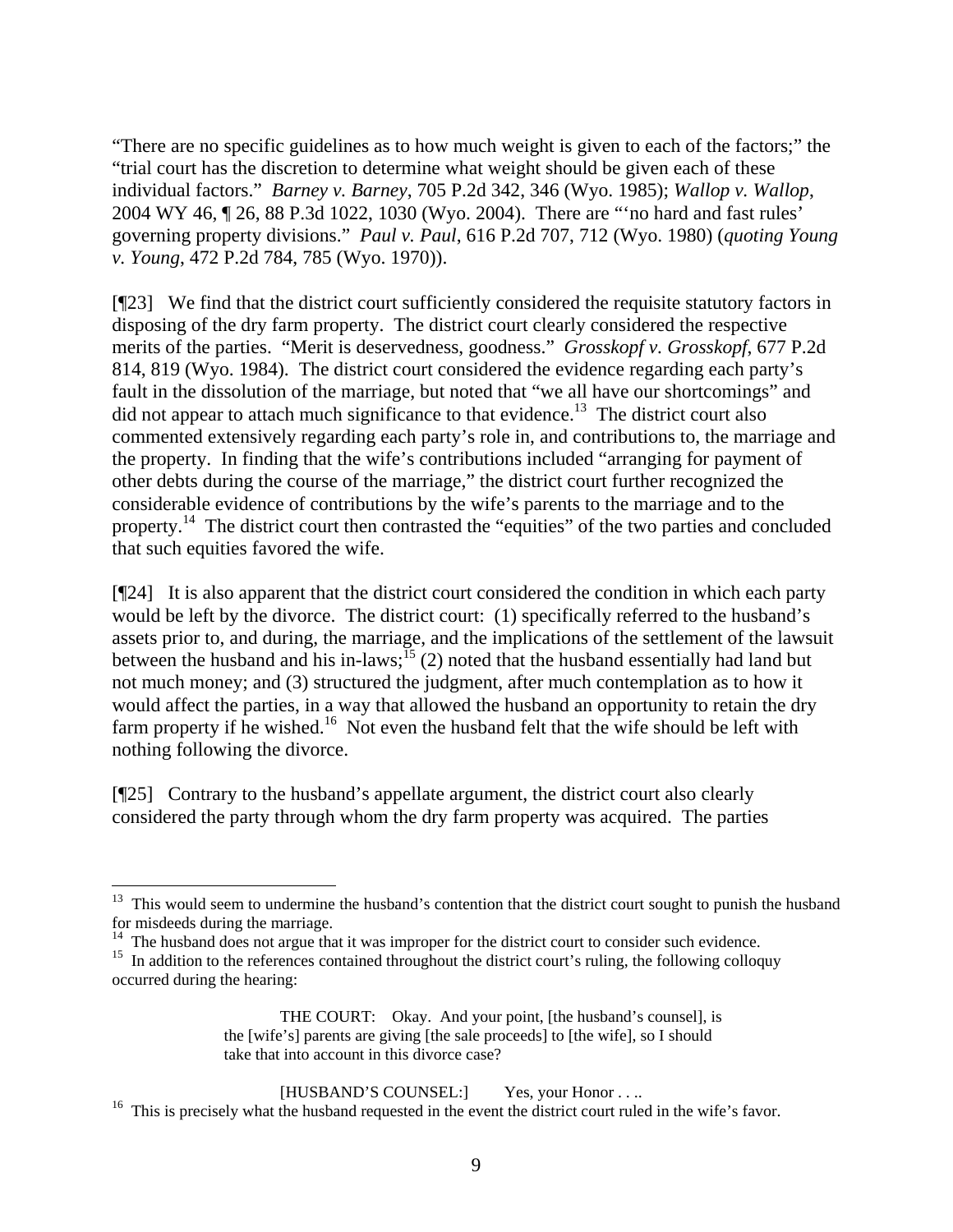"There are no specific guidelines as to how much weight is given to each of the factors;" the "trial court has the discretion to determine what weight should be given each of these individual factors." *Barney v. Barney*, 705 P.2d 342, 346 (Wyo. 1985); *Wallop v. Wallop*, 2004 WY 46, ¶ 26, 88 P.3d 1022, 1030 (Wyo. 2004). There are "'no hard and fast rules' governing property divisions." *Paul v. Paul*, 616 P.2d 707, 712 (Wyo. 1980) (*quoting Young v. Young*, 472 P.2d 784, 785 (Wyo. 1970)).

[¶23] We find that the district court sufficiently considered the requisite statutory factors in disposing of the dry farm property. The district court clearly considered the respective merits of the parties. "Merit is deservedness, goodness." *Grosskopf v. Grosskopf*, 677 P.2d 814, 819 (Wyo. 1984). The district court considered the evidence regarding each party's fault in the dissolution of the marriage, but noted that "we all have our shortcomings" and did not appear to attach much significance to that evidence.<sup>13</sup> The district court also commented extensively regarding each party's role in, and contributions to, the marriage and the property. In finding that the wife's contributions included "arranging for payment of other debts during the course of the marriage," the district court further recognized the considerable evidence of contributions by the wife's parents to the marriage and to the property.[14](#page-9-1) The district court then contrasted the "equities" of the two parties and concluded that such equities favored the wife.

[¶24] It is also apparent that the district court considered the condition in which each party would be left by the divorce. The district court: (1) specifically referred to the husband's assets prior to, and during, the marriage, and the implications of the settlement of the lawsuit between the husband and his in-laws;<sup>15</sup> (2) noted that the husband essentially had land but not much money; and (3) structured the judgment, after much contemplation as to how it would affect the parties, in a way that allowed the husband an opportunity to retain the dry farm property if he wished.<sup>16</sup> Not even the husband felt that the wife should be left with nothing following the divorce.

[¶25] Contrary to the husband's appellate argument, the district court also clearly considered the party through whom the dry farm property was acquired. The parties

<span id="page-9-0"></span><sup>&</sup>lt;sup>13</sup> This would seem to undermine the husband's contention that the district court sought to punish the husband for misdeeds during the marriage.

<span id="page-9-2"></span><span id="page-9-1"></span>

<sup>&</sup>lt;sup>14</sup> The husband does not argue that it was improper for the district court to consider such evidence.<br><sup>15</sup> In addition to the references contained throughout the district court's ruling, the following colloquy occurred during the hearing:

THE COURT: Okay. And your point, [the husband's counsel], is the [wife's] parents are giving [the sale proceeds] to [the wife], so I should take that into account in this divorce case?

<span id="page-9-3"></span><sup>[</sup>HUSBAND'S COUNSEL:] Yes, your Honor . . ..<br><sup>16</sup> This is precisely what the husband requested in the event the district court ruled in the wife's favor.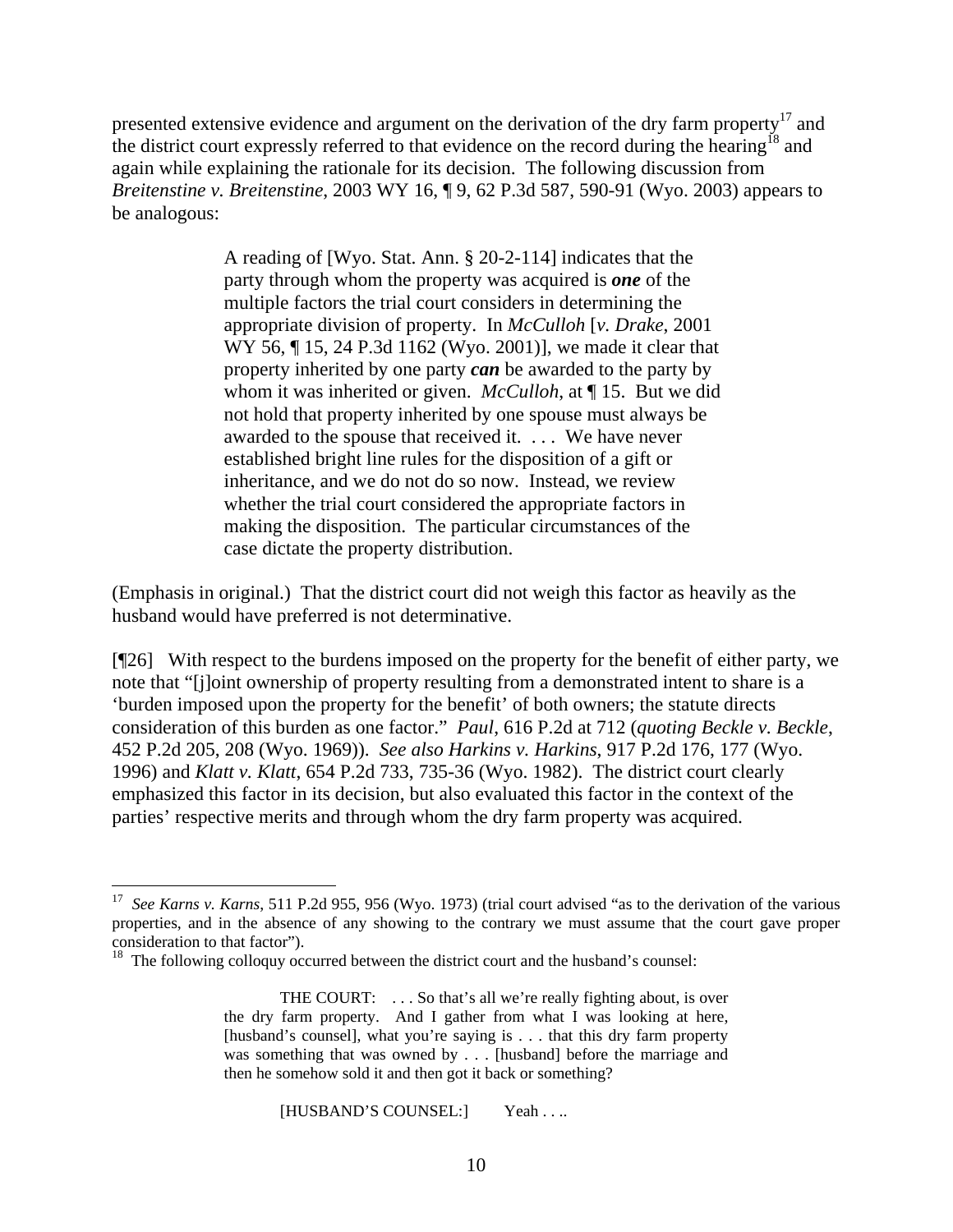presented extensive evidence and argument on the derivation of the dry farm property<sup>17</sup> and the district court expressly referred to that evidence on the record during the hearing<sup>18</sup> and again while explaining the rationale for its decision. The following discussion from *Breitenstine v. Breitenstine*, 2003 WY 16, ¶ 9, 62 P.3d 587, 590-91 (Wyo. 2003) appears to be analogous:

> A reading of [Wyo. Stat. Ann. § 20-2-114] indicates that the party through whom the property was acquired is *one* of the multiple factors the trial court considers in determining the appropriate division of property. In *McCulloh* [*v. Drake*, 2001 WY 56, ¶ 15, 24 P.3d 1162 (Wyo. 2001)], we made it clear that property inherited by one party *can* be awarded to the party by whom it was inherited or given. *McCulloh*, at ¶ 15. But we did not hold that property inherited by one spouse must always be awarded to the spouse that received it. . . . We have never established bright line rules for the disposition of a gift or inheritance, and we do not do so now. Instead, we review whether the trial court considered the appropriate factors in making the disposition. The particular circumstances of the case dictate the property distribution.

(Emphasis in original.) That the district court did not weigh this factor as heavily as the husband would have preferred is not determinative.

[¶26] With respect to the burdens imposed on the property for the benefit of either party, we note that "[j]oint ownership of property resulting from a demonstrated intent to share is a 'burden imposed upon the property for the benefit' of both owners; the statute directs consideration of this burden as one factor." *Paul*, 616 P.2d at 712 (*quoting Beckle v. Beckle*, 452 P.2d 205, 208 (Wyo. 1969)). *See also Harkins v. Harkins*, 917 P.2d 176, 177 (Wyo. 1996) and *Klatt v. Klatt*, 654 P.2d 733, 735-36 (Wyo. 1982). The district court clearly emphasized this factor in its decision, but also evaluated this factor in the context of the parties' respective merits and through whom the dry farm property was acquired.

[HUSBAND'S COUNSEL:] Yeah . . ..

<span id="page-10-0"></span><sup>17</sup> *See Karns v. Karns*, 511 P.2d 955, 956 (Wyo. 1973) (trial court advised "as to the derivation of the various properties, and in the absence of any showing to the contrary we must assume that the court gave proper consideration to that factor"). <sup>18</sup> The following colloquy occurred between the district court and the husband's counsel:

<span id="page-10-1"></span>

THE COURT: . . . So that's all we're really fighting about, is over the dry farm property. And I gather from what I was looking at here, [husband's counsel], what you're saying is . . . that this dry farm property was something that was owned by . . . [husband] before the marriage and then he somehow sold it and then got it back or something?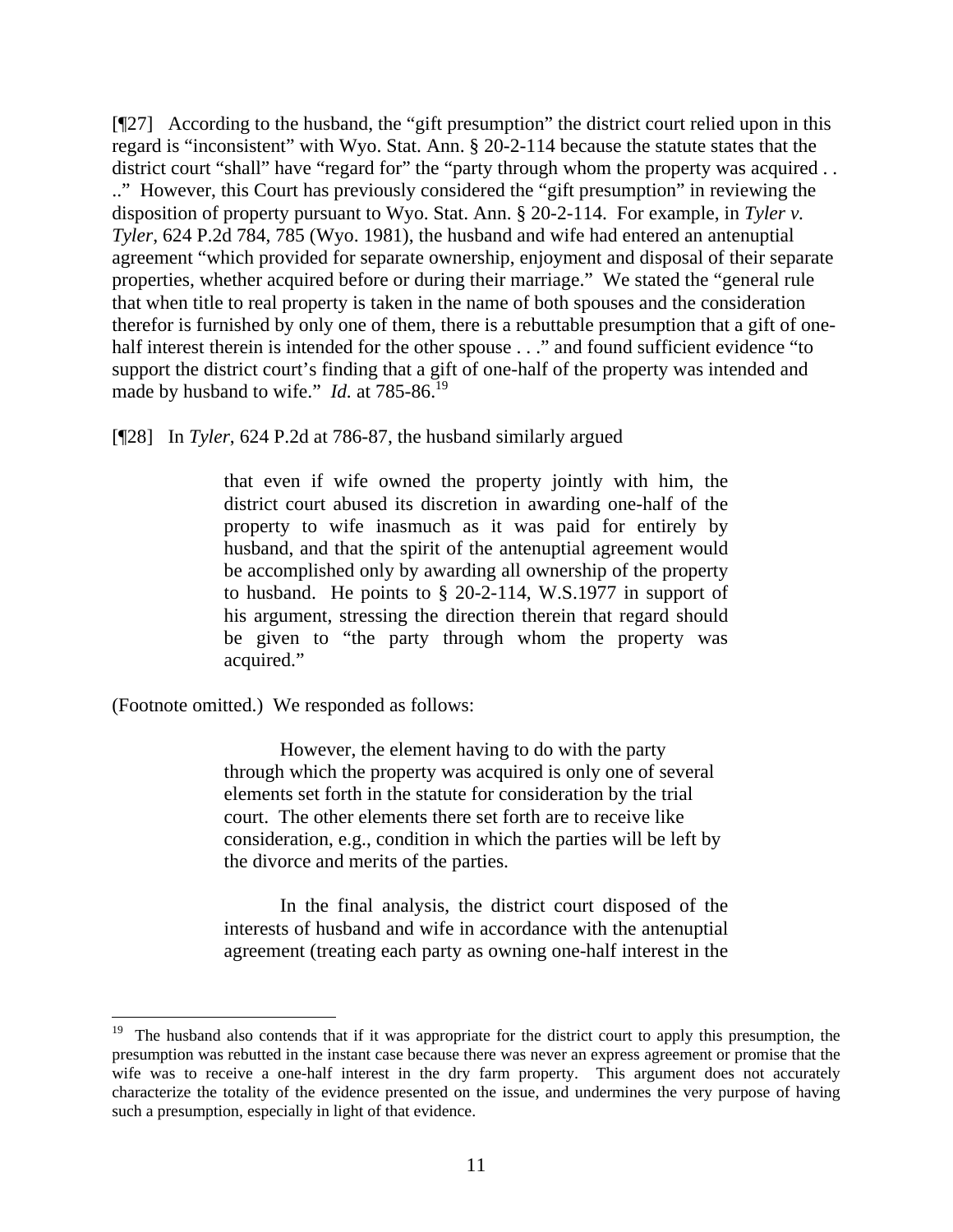[¶27] According to the husband, the "gift presumption" the district court relied upon in this regard is "inconsistent" with Wyo. Stat. Ann. § 20-2-114 because the statute states that the district court "shall" have "regard for" the "party through whom the property was acquired . . .." However, this Court has previously considered the "gift presumption" in reviewing the disposition of property pursuant to Wyo. Stat. Ann. § 20-2-114. For example, in *Tyler v. Tyler*, 624 P.2d 784, 785 (Wyo. 1981), the husband and wife had entered an antenuptial agreement "which provided for separate ownership, enjoyment and disposal of their separate properties, whether acquired before or during their marriage." We stated the "general rule that when title to real property is taken in the name of both spouses and the consideration therefor is furnished by only one of them, there is a rebuttable presumption that a gift of onehalf interest therein is intended for the other spouse . . ." and found sufficient evidence "to support the district court's finding that a gift of one-half of the property was intended and made by husband to wife." *Id.* at 785-86.<sup>[19](#page-11-0)</sup>

[¶28] In *Tyler*, 624 P.2d at 786-87, the husband similarly argued

that even if wife owned the property jointly with him, the district court abused its discretion in awarding one-half of the property to wife inasmuch as it was paid for entirely by husband, and that the spirit of the antenuptial agreement would be accomplished only by awarding all ownership of the property to husband. He points to § 20-2-114, W.S.1977 in support of his argument, stressing the direction therein that regard should be given to "the party through whom the property was acquired."

(Footnote omitted.) We responded as follows:

l

However, the element having to do with the party through which the property was acquired is only one of several elements set forth in the statute for consideration by the trial court. The other elements there set forth are to receive like consideration, e.g., condition in which the parties will be left by the divorce and merits of the parties.

In the final analysis, the district court disposed of the interests of husband and wife in accordance with the antenuptial agreement (treating each party as owning one-half interest in the

<span id="page-11-0"></span><sup>&</sup>lt;sup>19</sup> The husband also contends that if it was appropriate for the district court to apply this presumption, the presumption was rebutted in the instant case because there was never an express agreement or promise that the wife was to receive a one-half interest in the dry farm property. This argument does not accurately characterize the totality of the evidence presented on the issue, and undermines the very purpose of having such a presumption, especially in light of that evidence.